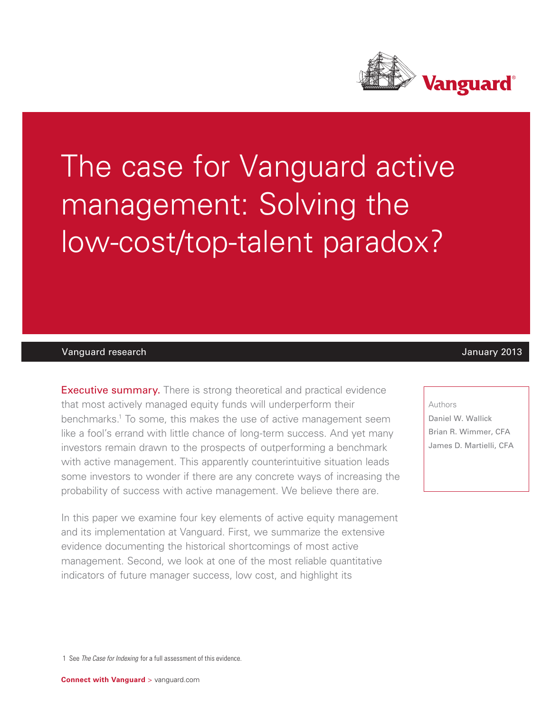

# The case for Vanguard active management: Solving the low-cost/top-talent paradox?

## Vanguard research January 2013

**Executive summary.** There is strong theoretical and practical evidence that most actively managed equity funds will underperform their benchmarks.<sup>1</sup> To some, this makes the use of active management seem like a fool's errand with little chance of long-term success. And yet many investors remain drawn to the prospects of outperforming a benchmark with active management. This apparently counterintuitive situation leads some investors to wonder if there are any concrete ways of increasing the probability of success with active management. We believe there are.

In this paper we examine four key elements of active equity management and its implementation at Vanguard. First, we summarize the extensive evidence documenting the historical shortcomings of most active management. Second, we look at one of the most reliable quantitative indicators of future manager success, low cost, and highlight its

#### Authors

Daniel W. Wallick Brian R. Wimmer, CFA James D. Martielli, CFA

1 See *The Case for Indexing* for a full assessment of this evidence.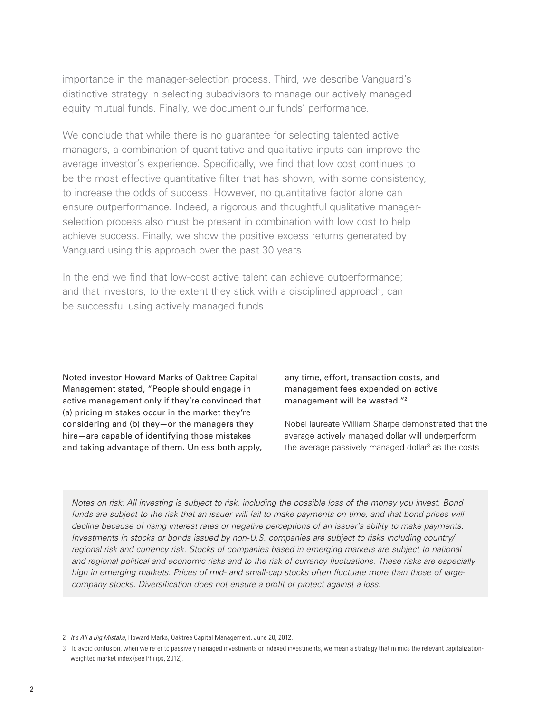importance in the manager-selection process. Third, we describe Vanguard's distinctive strategy in selecting subadvisors to manage our actively managed equity mutual funds. Finally, we document our funds' performance.

We conclude that while there is no quarantee for selecting talented active managers, a combination of quantitative and qualitative inputs can improve the average investor's experience. Specifically, we find that low cost continues to be the most effective quantitative filter that has shown, with some consistency, to increase the odds of success. However, no quantitative factor alone can ensure outperformance. Indeed, a rigorous and thoughtful qualitative managerselection process also must be present in combination with low cost to help achieve success. Finally, we show the positive excess returns generated by Vanguard using this approach over the past 30 years.

In the end we find that low-cost active talent can achieve outperformance; and that investors, to the extent they stick with a disciplined approach, can be successful using actively managed funds.

Noted investor Howard Marks of Oaktree Capital Management stated, "People should engage in active management only if they're convinced that (a) pricing mistakes occur in the market they're considering and (b) they—or the managers they hire—are capable of identifying those mistakes and taking advantage of them. Unless both apply, any time, effort, transaction costs, and management fees expended on active management will be wasted."2

Nobel laureate William Sharpe demonstrated that the average actively managed dollar will underperform the average passively managed dollar<sup>3</sup> as the costs

*Notes on risk: All investing is subject to risk, including the possible loss of the money you invest. Bond*  funds are subject to the risk that an issuer will fail to make payments on time, and that bond prices will *decline because of rising interest rates or negative perceptions of an issuer's ability to make payments. Investments in stocks or bonds issued by non-U.S. companies are subject to risks including country/* regional risk and currency risk. Stocks of companies based in emerging markets are subject to national *and regional political and economic risks and to the risk of currency fluctuations. These risks are especially high in emerging markets. Prices of mid- and small-cap stocks often fluctuate more than those of largecompany stocks. Diversification does not ensure a profit or protect against a loss.*

2 *It's All a Big Mistake*, Howard Marks, Oaktree Capital Management. June 20, 2012.

<sup>3</sup> To avoid confusion, when we refer to passively managed investments or indexed investments, we mean a strategy that mimics the relevant capitalizationweighted market index (see Philips, 2012).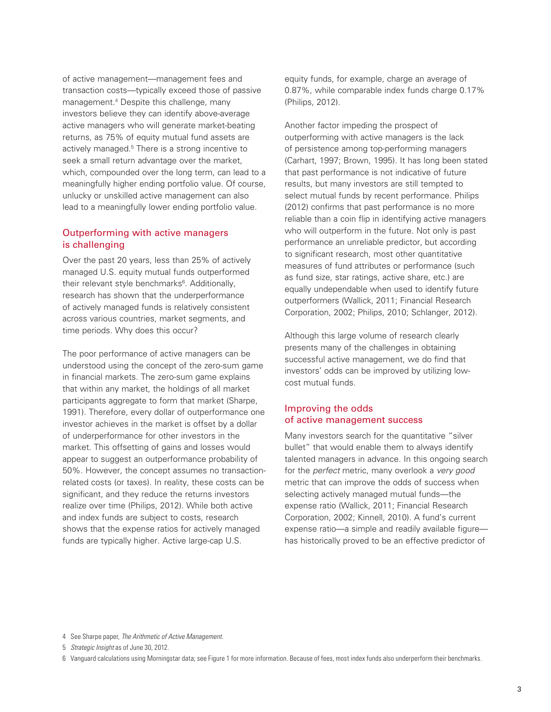of active management—management fees and transaction costs—typically exceed those of passive management.4 Despite this challenge, many investors believe they can identify above-average active managers who will generate market-beating returns, as 75% of equity mutual fund assets are actively managed.<sup>5</sup> There is a strong incentive to seek a small return advantage over the market, which, compounded over the long term, can lead to a meaningfully higher ending portfolio value. Of course, unlucky or unskilled active management can also lead to a meaningfully lower ending portfolio value.

# Outperforming with active managers is challenging

Over the past 20 years, less than 25% of actively managed U.S. equity mutual funds outperformed their relevant style benchmarks<sup>6</sup>. Additionally, research has shown that the underperformance of actively managed funds is relatively consistent across various countries, market segments, and time periods. Why does this occur?

The poor performance of active managers can be understood using the concept of the zero-sum game in financial markets. The zero-sum game explains that within any market, the holdings of all market participants aggregate to form that market (Sharpe, 1991). Therefore, every dollar of outperformance one investor achieves in the market is offset by a dollar of underperformance for other investors in the market. This offsetting of gains and losses would appear to suggest an outperformance probability of 50%. However, the concept assumes no transactionrelated costs (or taxes). In reality, these costs can be significant, and they reduce the returns investors realize over time (Philips, 2012). While both active and index funds are subject to costs, research shows that the expense ratios for actively managed funds are typically higher. Active large-cap U.S.

equity funds, for example, charge an average of 0.87%, while comparable index funds charge 0.17% (Philips, 2012).

Another factor impeding the prospect of outperforming with active managers is the lack of persistence among top-performing managers (Carhart, 1997; Brown, 1995). It has long been stated that past performance is not indicative of future results, but many investors are still tempted to select mutual funds by recent performance. Philips (2012) confirms that past performance is no more reliable than a coin flip in identifying active managers who will outperform in the future. Not only is past performance an unreliable predictor, but according to significant research, most other quantitative measures of fund attributes or performance (such as fund size, star ratings, active share, etc.) are equally undependable when used to identify future outperformers (Wallick, 2011; Financial Research Corporation, 2002; Philips, 2010; Schlanger, 2012).

Although this large volume of research clearly presents many of the challenges in obtaining successful active management, we do find that investors' odds can be improved by utilizing lowcost mutual funds.

# Improving the odds of active management success

Many investors search for the quantitative "silver bullet" that would enable them to always identify talented managers in advance. In this ongoing search for the *perfect* metric, many overlook a *very good* metric that can improve the odds of success when selecting actively managed mutual funds—the expense ratio (Wallick, 2011; Financial Research Corporation, 2002; Kinnell, 2010). A fund's current expense ratio—a simple and readily available figure has historically proved to be an effective predictor of

<sup>4</sup> See Sharpe paper, *The Arithmetic of Active Management*.

<sup>5</sup> *Strategic Insight* as of June 30, 2012.

<sup>6</sup> Vanguard calculations using Morningstar data; see Figure 1 for more information. Because of fees, most index funds also underperform their benchmarks.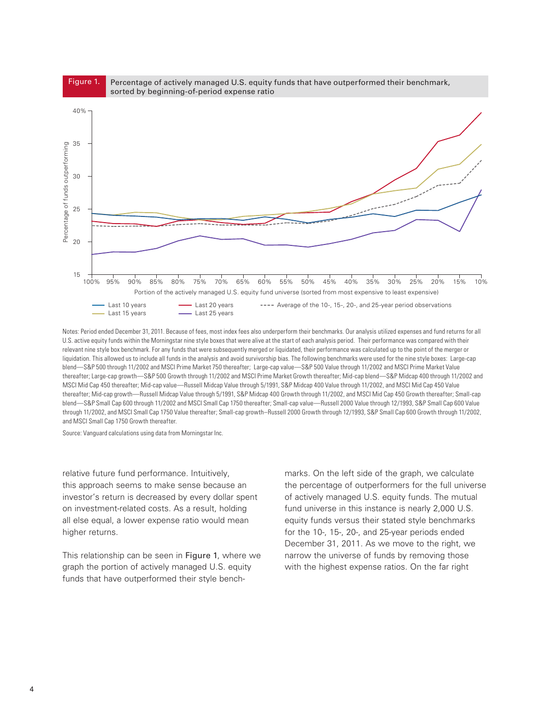

Notes: Period ended December 31, 2011. Because of fees, most index fees also underperform their benchmarks. Our analysis utilized expenses and fund returns for all U.S. active equity funds within the Morningstar nine style boxes that were alive at the start of each analysis period. Their performance was compared with their relevant nine style box benchmark. For any funds that were subsequently merged or liquidated, their performance was calculated up to the point of the merger or liquidation. This allowed us to include all funds in the analysis and avoid survivorship bias. The following benchmarks were used for the nine style boxes: Large-cap blend—S&P 500 through 11/2002 and MSCI Prime Market 750 thereafter; Large-cap value—S&P 500 Value through 11/2002 and MSCI Prime Market Value thereafter; Large-cap growth—S&P 500 Growth through 11/2002 and MSCI Prime Market Growth thereafter; Mid-cap blend—S&P Midcap 400 through 11/2002 and MSCI Mid Cap 450 thereafter; Mid-cap value—Russell Midcap Value through 5/1991, S&P Midcap 400 Value through 11/2002, and MSCI Mid Cap 450 Value thereafter; Mid-cap growth—Russell Midcap Value through 5/1991, S&P Midcap 400 Growth through 11/2002, and MSCI Mid Cap 450 Growth thereafter; Small-cap blend—S&P Small Cap 600 through 11/2002 and MSCI Small Cap 1750 thereafter; Small-cap value—Russell 2000 Value through 12/1993, S&P Small Cap 600 Value through 11/2002, and MSCI Small Cap 1750 Value thereafter; Small-cap growth–Russell 2000 Growth through 12/1993, S&P Small Cap 600 Growth through 11/2002, and MSCI Small Cap 1750 Growth thereafter.

Source: Vanguard calculations using data from Morningstar Inc.

relative future fund performance. Intuitively, this approach seems to make sense because an investor's return is decreased by every dollar spent on investment-related costs. As a result, holding all else equal, a lower expense ratio would mean higher returns.

This relationship can be seen in Figure 1, where we graph the portion of actively managed U.S. equity funds that have outperformed their style benchmarks. On the left side of the graph, we calculate the percentage of outperformers for the full universe of actively managed U.S. equity funds. The mutual fund universe in this instance is nearly 2,000 U.S. equity funds versus their stated style benchmarks for the 10-, 15-, 20-, and 25-year periods ended December 31, 2011. As we move to the right, we narrow the universe of funds by removing those with the highest expense ratios. On the far right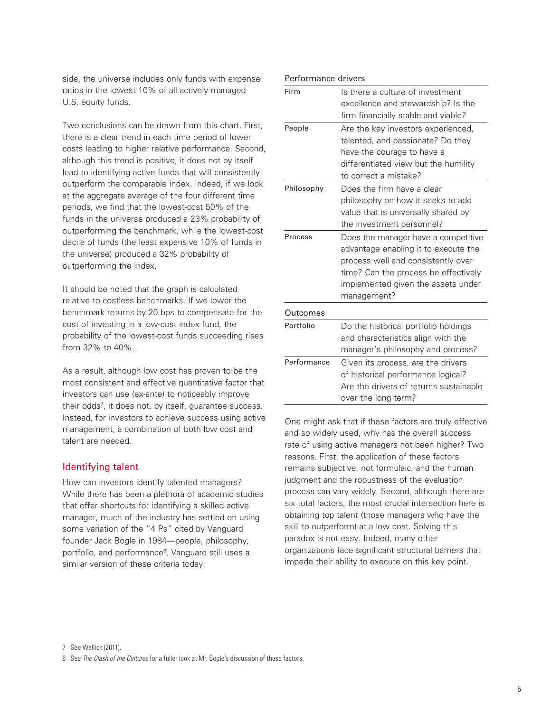side, the universe includes only funds with expense ratios in the lowest 10% of all actively managed U.S. equity funds.

Two conclusions can be drawn from this chart. First, there is a clear trend in each time period of lower costs leading to higher relative performance. Second, although this trend is positive, it does not by itself lead to identifying active funds that will consistently outperform the comparable index. Indeed, if we look at the aggregate average of the four different time periods, we find that the lowest-cost 50% of the funds in the universe produced a 23% probability of outperforming the benchmark, while the lowest-cost decile of funds (the least expensive 10% of funds in the universe) produced a 32% probability of outperforming the index.

It should be noted that the graph is calculated relative to costless benchmarks. If we lower the benchmark returns by 20 bps to compensate for the cost of investing in a low-cost index fund, the probability of the lowest-cost funds succeeding rises from 32% to 40%.

As a result, although low cost has proven to be the most consistent and effective quantitative factor that investors can use (ex-ante) to noticeably improve their odds7 , it does not, by itself, guarantee success. Instead, for investors to achieve success using active management, a combination of both low cost and talent are needed.

## Identifying talent

How can investors identify talented managers? While there has been a plethora of academic studies that offer shortcuts for identifying a skilled active manager, much of the industry has settled on using some variation of the "4 Ps" cited by Vanguard founder Jack Bogle in 1984—people, philosophy, portfolio, and performance<sup>8</sup>. Vanguard still uses a similar version of these criteria today:

| Firm        | Is there a culture of investment       |
|-------------|----------------------------------------|
|             |                                        |
|             | excellence and stewardship? Is the     |
|             | firm financially stable and viable?    |
| People      | Are the key investors experienced,     |
|             | talented, and passionate? Do they      |
|             | have the courage to have a             |
|             | differentiated view but the humility   |
|             | to correct a mistake?                  |
| Philosophy  | Does the firm have a clear             |
|             | philosophy on how it seeks to add      |
|             | value that is universally shared by    |
|             | the investment personnel?              |
| Process     | Does the manager have a competitive    |
|             | advantage enabling it to execute the   |
|             | process well and consistently over     |
|             | time? Can the process be effectively   |
|             | implemented given the assets under     |
|             | management?                            |
| Outcomes    |                                        |
| Portfolio   | Do the historical portfolio holdings   |
|             | and characteristics align with the     |
|             | manager's philosophy and process?      |
| Performance | Given its process, are the drivers     |
|             |                                        |
|             | of historical performance logical?     |
|             | Are the drivers of returns sustainable |

One might ask that if these factors are truly effective and so widely used, why has the overall success rate of using active managers not been higher? Two reasons. First, the application of these factors remains subjective, not formulaic, and the human judgment and the robustness of the evaluation process can vary widely. Second, although there are six total factors, the most crucial intersection here is obtaining top talent (those managers who have the skill to outperform) at a low cost. Solving this paradox is not easy. Indeed, many other organizations face significant structural barriers that impede their ability to execute on this key point.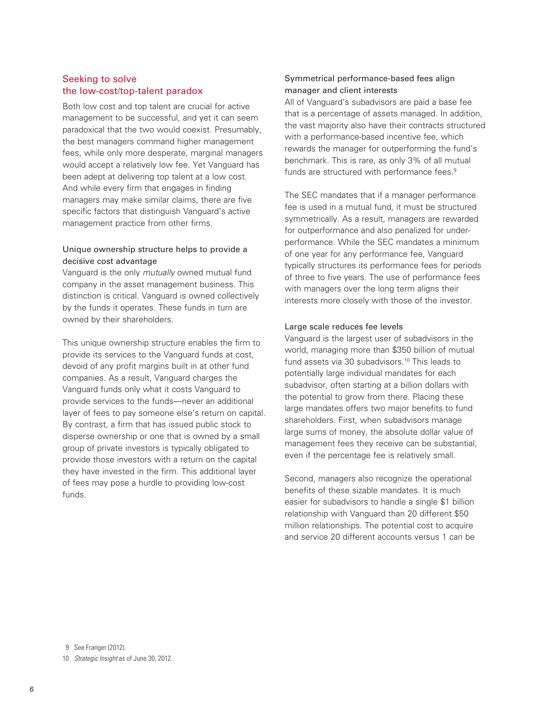# Seeking to solve the low-cost/top-talent paradox

Both low cost and top talent are crucial for active management to be successful, and yet it can seem paradoxical that the two would coexist. Presumably, the best managers command higher management fees, while only more desperate, marginal managers would accept a relatively low fee. Yet Vanguard has been adept at delivering top talent at a low cost. And while every firm that engages in finding managers may make similar claims, there are five specific factors that distinguish Vanguard's active management practice from other firms.

# Unique ownership structure helps to provide a decisive cost advantage

Vanguard is the only *mutually* owned mutual fund company in the asset management business. This distinction is critical. Vanguard is owned collectively by the funds it operates. These funds in turn are owned by their shareholders.

This unique ownership structure enables the firm to provide its services to the Vanguard funds at cost, devoid of any profit margins built in at other fund companies. As a result, Vanguard charges the Vanguard funds only what it costs Vanguard to provide services to the funds—never an additional layer of fees to pay someone else's return on capital. By contrast, a firm that has issued public stock to disperse ownership or one that is owned by a small group of private investors is typically obligated to provide those investors with a return on the capital they have invested in the firm. This additional layer of fees may pose a hurdle to providing low-cost funds.

# Symmetrical performance-based fees align manager and client interests

All of Vanguard's subadvisors are paid a base fee that is a percentage of assets managed. In addition, the vast majority also have their contracts structured with a performance-based incentive fee, which rewards the manager for outperforming the fund's benchmark. This is rare, as only 3% of all mutual funds are structured with performance fees.<sup>9</sup>

The SEC mandates that if a manager performance fee is used in a mutual fund, it must be structured symmetrically. As a result, managers are rewarded for outperformance and also penalized for underperformance. While the SEC mandates a minimum of one year for any performance fee, Vanguard typically structures its performance fees for periods of three to five years. The use of performance fees with managers over the long term aligns their interests more closely with those of the investor.

### Large scale reduces fee levels

Vanguard is the largest user of subadvisors in the world, managing more than \$350 billion of mutual fund assets via 30 subadvisors.<sup>10</sup> This leads to potentially large individual mandates for each subadvisor, often starting at a billion dollars with the potential to grow from there. Placing these large mandates offers two major benefits to fund shareholders. First, when subadvisors manage large sums of money, the absolute dollar value of management fees they receive can be substantial, even if the percentage fee is relatively small.

Second, managers also recognize the operational benefits of these sizable mandates. It is much easier for subadvisors to handle a single \$1 billion relationship with Vanguard than 20 different \$50 million relationships. The potential cost to acquire and service 20 different accounts versus 1 can be

9 See Franger (2012).

10 *Strategic Insight* as of June 30, 2012.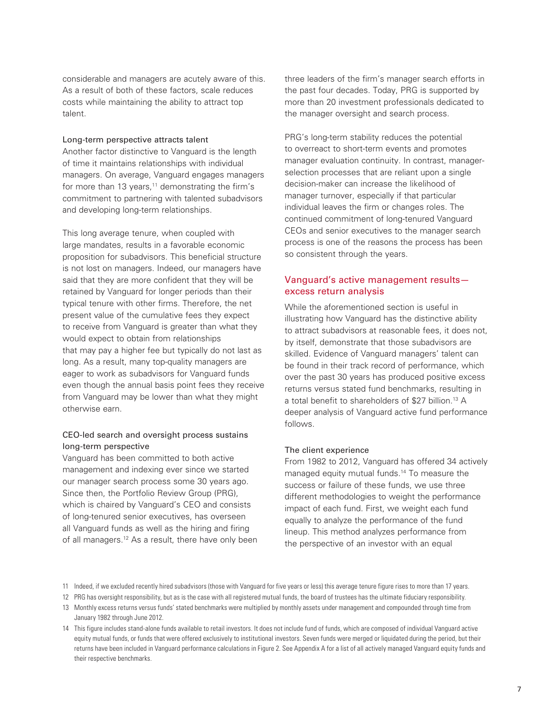considerable and managers are acutely aware of this. As a result of both of these factors, scale reduces costs while maintaining the ability to attract top talent.

#### Long-term perspective attracts talent

Another factor distinctive to Vanguard is the length of time it maintains relationships with individual managers. On average, Vanguard engages managers for more than 13 years, $11$  demonstrating the firm's commitment to partnering with talented subadvisors and developing long-term relationships.

This long average tenure, when coupled with large mandates, results in a favorable economic proposition for subadvisors. This beneficial structure is not lost on managers. Indeed, our managers have said that they are more confident that they will be retained by Vanguard for longer periods than their typical tenure with other firms. Therefore, the net present value of the cumulative fees they expect to receive from Vanguard is greater than what they would expect to obtain from relationships that may pay a higher fee but typically do not last as long. As a result, many top-quality managers are eager to work as subadvisors for Vanguard funds even though the annual basis point fees they receive from Vanguard may be lower than what they might otherwise earn.

# CEO-led search and oversight process sustains long-term perspective

Vanguard has been committed to both active management and indexing ever since we started our manager search process some 30 years ago. Since then, the Portfolio Review Group (PRG), which is chaired by Vanguard's CEO and consists of long-tenured senior executives, has overseen all Vanguard funds as well as the hiring and firing of all managers.<sup>12</sup> As a result, there have only been three leaders of the firm's manager search efforts in the past four decades. Today, PRG is supported by more than 20 investment professionals dedicated to the manager oversight and search process.

PRG's long-term stability reduces the potential to overreact to short-term events and promotes manager evaluation continuity. In contrast, managerselection processes that are reliant upon a single decision-maker can increase the likelihood of manager turnover, especially if that particular individual leaves the firm or changes roles. The continued commitment of long-tenured Vanguard CEOs and senior executives to the manager search process is one of the reasons the process has been so consistent through the years.

# Vanguard's active management results excess return analysis

While the aforementioned section is useful in illustrating how Vanguard has the distinctive ability to attract subadvisors at reasonable fees, it does not, by itself, demonstrate that those subadvisors are skilled. Evidence of Vanguard managers' talent can be found in their track record of performance, which over the past 30 years has produced positive excess returns versus stated fund benchmarks, resulting in a total benefit to shareholders of \$27 billion.<sup>13</sup> A deeper analysis of Vanguard active fund performance follows.

#### The client experience

From 1982 to 2012, Vanguard has offered 34 actively managed equity mutual funds.<sup>14</sup> To measure the success or failure of these funds, we use three different methodologies to weight the performance impact of each fund. First, we weight each fund equally to analyze the performance of the fund lineup. This method analyzes performance from the perspective of an investor with an equal

<sup>11</sup> Indeed, if we excluded recently hired subadvisors (those with Vanguard for five years or less) this average tenure figure rises to more than 17 years.

<sup>12</sup> PRG has oversight responsibility, but as is the case with all registered mutual funds, the board of trustees has the ultimate fiduciary responsibility.

<sup>13</sup> Monthly excess returns versus funds' stated benchmarks were multiplied by monthly assets under management and compounded through time from January 1982 through June 2012.

<sup>14</sup> This figure includes stand-alone funds available to retail investors. It does not include fund of funds, which are composed of individual Vanguard active equity mutual funds, or funds that were offered exclusively to institutional investors. Seven funds were merged or liquidated during the period, but their returns have been included in Vanguard performance calculations in Figure 2. See Appendix A for a list of all actively managed Vanguard equity funds and their respective benchmarks.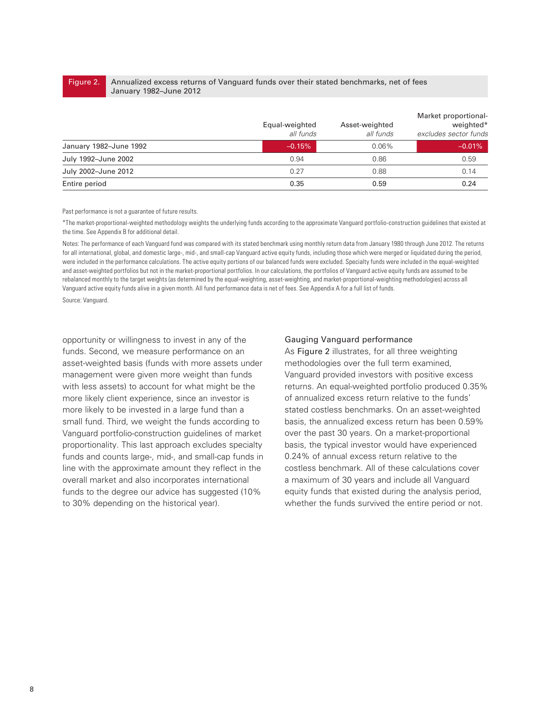# Figure 2.

Annualized excess returns of Vanguard funds over their stated benchmarks, net of fees January 1982–June 2012

|                        | Equal-weighted<br>all funds | Asset-weighted<br>all funds | Market proportional-<br>weighted*<br>excludes sector funds |
|------------------------|-----------------------------|-----------------------------|------------------------------------------------------------|
| January 1982-June 1992 | $-0.15%$                    | 0.06%                       | $-0.01%$                                                   |
| July 1992-June 2002    | 0.94                        | 0.86                        | 0.59                                                       |
| July 2002-June 2012    | 0.27                        | 0.88                        | 0.14                                                       |
| Entire period          | 0.35                        | 0.59                        | 0.24                                                       |

Past performance is not a guarantee of future results.

\*The market-proportional-weighted methodology weights the underlying funds according to the approximate Vanguard portfolio-construction guidelines that existed at the time. See Appendix B for additional detail.

Notes: The performance of each Vanguard fund was compared with its stated benchmark using monthly return data from January 1980 through June 2012. The returns for all international, global, and domestic large-, mid-, and small-cap Vanguard active equity funds, including those which were merged or liquidated during the period, were included in the performance calculations. The active equity portions of our balanced funds were excluded. Specialty funds were included in the equal-weighted and asset-weighted portfolios but not in the market-proportional portfolios. In our calculations, the portfolios of Vanguard active equity funds are assumed to be rebalanced monthly to the target weights (as determined by the equal-weighting, asset-weighting, and market-proportional-weighting methodologies) across all Vanguard active equity funds alive in a given month. All fund performance data is net of fees. See Appendix A for a full list of funds.

Source: Vanguard.

opportunity or willingness to invest in any of the funds. Second, we measure performance on an asset-weighted basis (funds with more assets under management were given more weight than funds with less assets) to account for what might be the more likely client experience, since an investor is more likely to be invested in a large fund than a small fund. Third, we weight the funds according to Vanguard portfolio-construction guidelines of market proportionality. This last approach excludes specialty funds and counts large-, mid-, and small-cap funds in line with the approximate amount they reflect in the overall market and also incorporates international funds to the degree our advice has suggested (10% to 30% depending on the historical year).

#### Gauging Vanguard performance

As Figure 2 illustrates, for all three weighting methodologies over the full term examined, Vanguard provided investors with positive excess returns. An equal-weighted portfolio produced 0.35% of annualized excess return relative to the funds' stated costless benchmarks. On an asset-weighted basis, the annualized excess return has been 0.59% over the past 30 years. On a market-proportional basis, the typical investor would have experienced 0.24% of annual excess return relative to the costless benchmark. All of these calculations cover a maximum of 30 years and include all Vanguard equity funds that existed during the analysis period, whether the funds survived the entire period or not.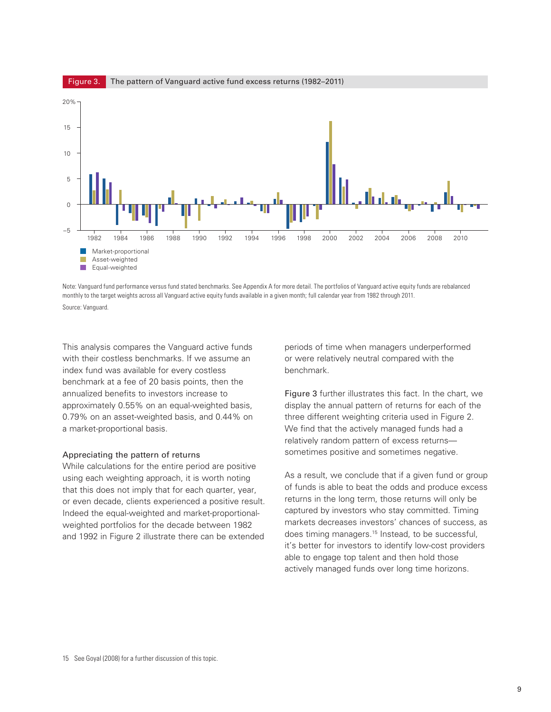

Note: Vanguard fund performance versus fund stated benchmarks. See Appendix A for more detail. The portfolios of Vanguard active equity funds are rebalanced monthly to the target weights across all Vanguard active equity funds available in a given month; full calendar year from 1982 through 2011. Source: Vanguard.

This analysis compares the Vanguard active funds with their costless benchmarks. If we assume an index fund was available for every costless benchmark at a fee of 20 basis points, then the annualized benefits to investors increase to approximately 0.55% on an equal-weighted basis, 0.79% on an asset-weighted basis, and 0.44% on a market-proportional basis.

#### Appreciating the pattern of returns

While calculations for the entire period are positive using each weighting approach, it is worth noting that this does not imply that for each quarter, year, or even decade, clients experienced a positive result. Indeed the equal-weighted and market-proportionalweighted portfolios for the decade between 1982 and 1992 in Figure 2 illustrate there can be extended

periods of time when managers underperformed or were relatively neutral compared with the benchmark.

Figure 3 further illustrates this fact. In the chart, we display the annual pattern of returns for each of the three different weighting criteria used in Figure 2. We find that the actively managed funds had a relatively random pattern of excess returns sometimes positive and sometimes negative.

As a result, we conclude that if a given fund or group of funds is able to beat the odds and produce excess returns in the long term, those returns will only be captured by investors who stay committed. Timing markets decreases investors' chances of success, as does timing managers.<sup>15</sup> Instead, to be successful, it's better for investors to identify low-cost providers able to engage top talent and then hold those actively managed funds over long time horizons.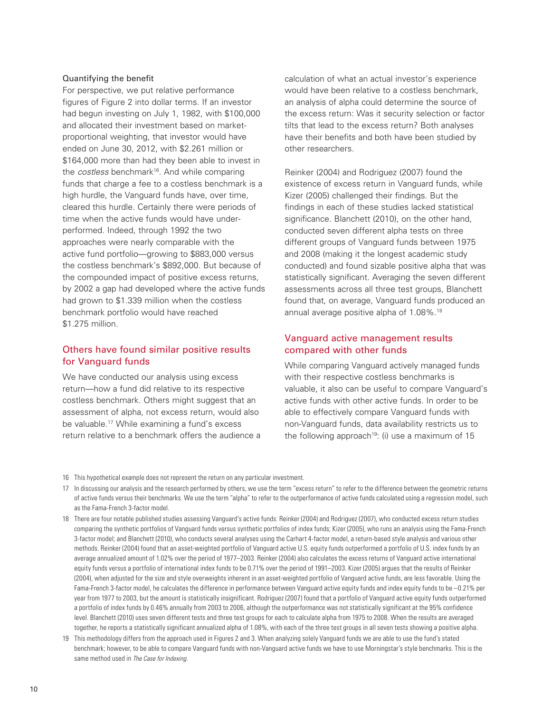#### Quantifying the benefit

For perspective, we put relative performance figures of Figure 2 into dollar terms. If an investor had begun investing on July 1, 1982, with \$100,000 and allocated their investment based on marketproportional weighting, that investor would have ended on June 30, 2012, with \$2.261 million or \$164,000 more than had they been able to invest in the *costless* benchmark16. And while comparing funds that charge a fee to a costless benchmark is a high hurdle, the Vanguard funds have, over time, cleared this hurdle. Certainly there were periods of time when the active funds would have underperformed. Indeed, through 1992 the two approaches were nearly comparable with the active fund portfolio—growing to \$883,000 versus the costless benchmark's \$892,000. But because of the compounded impact of positive excess returns, by 2002 a gap had developed where the active funds had grown to \$1.339 million when the costless benchmark portfolio would have reached \$1.275 million.

# Others have found similar positive results for Vanguard funds

We have conducted our analysis using excess return—how a fund did relative to its respective costless benchmark. Others might suggest that an assessment of alpha, not excess return, would also be valuable.17 While examining a fund's excess return relative to a benchmark offers the audience a calculation of what an actual investor's experience would have been relative to a costless benchmark, an analysis of alpha could determine the source of the excess return: Was it security selection or factor tilts that lead to the excess return? Both analyses have their benefits and both have been studied by other researchers.

Reinker (2004) and Rodriguez (2007) found the existence of excess return in Vanguard funds, while Kizer (2005) challenged their findings. But the findings in each of these studies lacked statistical significance. Blanchett (2010), on the other hand, conducted seven different alpha tests on three different groups of Vanguard funds between 1975 and 2008 (making it the longest academic study conducted) and found sizable positive alpha that was statistically significant. Averaging the seven different assessments across all three test groups, Blanchett found that, on average, Vanguard funds produced an annual average positive alpha of 1.08%.18

# Vanguard active management results compared with other funds

While comparing Vanguard actively managed funds with their respective costless benchmarks is valuable, it also can be useful to compare Vanguard's active funds with other active funds. In order to be able to effectively compare Vanguard funds with non-Vanguard funds, data availability restricts us to the following approach<sup>19</sup>: (i) use a maximum of  $15$ 

16 This hypothetical example does not represent the return on any particular investment.

- 17 In discussing our analysis and the research performed by others, we use the term "excess return" to refer to the difference between the geometric returns of active funds versus their benchmarks. We use the term "alpha" to refer to the outperformance of active funds calculated using a regression model, such as the Fama-French 3-factor model.
- 18 There are four notable published studies assessing Vanguard's active funds: Reinker (2004) and Rodriguez (2007), who conducted excess return studies comparing the synthetic portfolios of Vanguard funds versus synthetic portfolios of index funds; Kizer (2005), who runs an analysis using the Fama-French 3-factor model; and Blanchett (2010), who conducts several analyses using the Carhart 4-factor model, a return-based style analysis and various other methods. Reinker (2004) found that an asset-weighted portfolio of Vanguard active U.S. equity funds outperformed a portfolio of U.S. index funds by an average annualized amount of 1.02% over the period of 1977–2003. Reinker (2004) also calculates the excess returns of Vanguard active international equity funds versus a portfolio of international index funds to be 0.71% over the period of 1991–2003. Kizer (2005) argues that the results of Reinker (2004), when adjusted for the size and style overweights inherent in an asset-weighted portfolio of Vanguard active funds, are less favorable. Using the Fama-French 3-factor model, he calculates the difference in performance between Vanguard active equity funds and index equity funds to be –0.21% per year from 1977 to 2003, but the amount is statistically insignificant. Rodriguez (2007) found that a portfolio of Vanguard active equity funds outperformed a portfolio of index funds by 0.46% annually from 2003 to 2006, although the outperformance was not statistically significant at the 95% confidence level. Blanchett (2010) uses seven different tests and three test groups for each to calculate alpha from 1975 to 2008. When the results are averaged together, he reports a statistically significant annualized alpha of 1.08%, with each of the three test groups in all seven tests showing a positive alpha.
- 19 This methodology differs from the approach used in Figures 2 and 3. When analyzing solely Vanguard funds we are able to use the fund's stated benchmark; however, to be able to compare Vanguard funds with non-Vanguard active funds we have to use Morningstar's style benchmarks. This is the same method used in *The Case for Indexing*.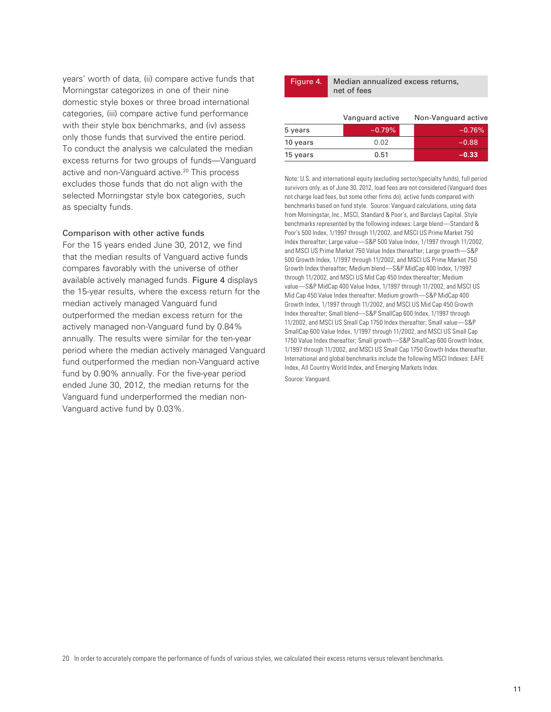years' worth of data, (ii) compare active funds that Morningstar categorizes in one of their nine domestic style boxes or three broad international categories, (iii) compare active fund performance with their style box benchmarks, and (iv) assess only those funds that survived the entire period. To conduct the analysis we calculated the median excess returns for two groups of funds—Vanguard active and non-Vanguard active.<sup>20</sup> This process excludes those funds that do not align with the selected Morningstar style box categories, such as specialty funds.

#### Comparison with other active funds

For the 15 years ended June 30, 2012, we find that the median results of Vanguard active funds compares favorably with the universe of other available actively managed funds. Figure 4 displays the 15-year results, where the excess return for the median actively managed Vanguard fund outperformed the median excess return for the actively managed non-Vanguard fund by 0.84% annually. The results were similar for the ten-year period where the median actively managed Vanguard fund outperformed the median non-Vanguard active fund by 0.90% annually. For the five-year period ended June 30, 2012, the median returns for the Vanguard fund underperformed the median non-Vanguard active fund by 0.03%.

Median annualized excess returns, net of fees Figure 4.

|          | Vanguard active | Non-Vanguard active |
|----------|-----------------|---------------------|
| 5 years  | $-0.79%$        | $-0.76%$            |
| 10 years | 0.02            | $-0.88$             |
| 15 years | 0.51            | $-0.33$             |

Note: U.S. and international equity (excluding sector/specialty funds), full period survivors only, as of June 30, 2012, load fees are not considered (Vanguard does not charge load fees, but some other firms do), active funds compared with benchmarks based on fund style. Source: Vanguard calculations, using data from Morningstar, Inc., MSCI, Standard & Poor's, and Barclays Capital. Style benchmarks represented by the following indexes: Large blend—Standard & Poor's 500 Index, 1/1997 through 11/2002, and MSCI US Prime Market 750 Index thereafter; Large value—S&P 500 Value Index, 1/1997 through 11/2002, and MSCI US Prime Market 750 Value Index thereafter; Large growth—S&P 500 Growth Index, 1/1997 through 11/2002, and MSCI US Prime Market 750 Growth Index thereafter; Medium blend—S&P MidCap 400 Index, 1/1997 through 11/2002, and MSCI US Mid Cap 450 Index thereafter; Medium value—S&P MidCap 400 Value Index, 1/1997 through 11/2002, and MSCI US Mid Cap 450 Value Index thereafter; Medium growth—S&P MidCap 400 Growth Index, 1/1997 through 11/2002, and MSCI US Mid Cap 450 Growth Index thereafter; Small blend—S&P SmallCap 600 Index, 1/1997 through 11/2002, and MSCI US Small Cap 1750 Index thereafter; Small value—S&P SmallCap 600 Value Index, 1/1997 through 11/2002, and MSCI US Small Cap 1750 Value Index thereafter; Small growth—S&P SmallCap 600 Growth Index, 1/1997 through 11/2002, and MSCI US Small Cap 1750 Growth Index thereafter. International and global benchmarks include the following MSCI Indexes: EAFE Index, All Country World Index, and Emerging Markets Index. Source: Vanguard.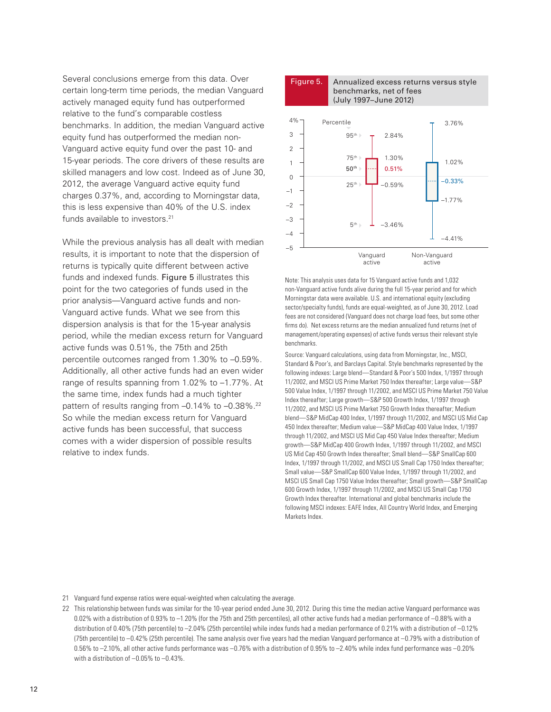Several conclusions emerge from this data. Over certain long-term time periods, the median Vanguard actively managed equity fund has outperformed relative to the fund's comparable costless benchmarks. In addition, the median Vanguard active equity fund has outperformed the median non-Vanguard active equity fund over the past 10- and 15-year periods. The core drivers of these results are skilled managers and low cost. Indeed as of June 30, 2012, the average Vanguard active equity fund charges 0.37%, and, according to Morningstar data, this is less expensive than 40% of the U.S. index funds available to investors.<sup>21</sup>

While the previous analysis has all dealt with median results, it is important to note that the dispersion of returns is typically quite different between active funds and indexed funds. Figure 5 illustrates this point for the two categories of funds used in the prior analysis—Vanguard active funds and non-Vanguard active funds. What we see from this dispersion analysis is that for the 15-year analysis period, while the median excess return for Vanguard active funds was 0.51%, the 75th and 25th percentile outcomes ranged from 1.30% to –0.59%. Additionally, all other active funds had an even wider range of results spanning from 1.02% to –1.77%. At the same time, index funds had a much tighter pattern of results ranging from -0.14% to -0.38%.<sup>22</sup> So while the median excess return for Vanguard active funds has been successful, that success comes with a wider dispersion of possible results relative to index funds.



Note: This analysis uses data for 15 Vanguard active funds and 1,032 non-Vanguard active funds alive during the full 15-year period and for which Morningstar data were available. U.S. and international equity (excluding sector/specialty funds), funds are equal-weighted, as of June 30, 2012. Load fees are not considered (Vanguard does not charge load fees, but some other firms do). Net excess returns are the median annualized fund returns (net of management/operating expenses) of active funds versus their relevant style benchmarks.

Source: Vanguard calculations, using data from Morningstar, Inc., MSCI, Standard & Poor's, and Barclays Capital. Style benchmarks represented by the following indexes: Large blend—Standard & Poor's 500 Index, 1/1997 through 11/2002, and MSCI US Prime Market 750 Index thereafter; Large value—S&P 500 Value Index, 1/1997 through 11/2002, and MSCI US Prime Market 750 Value Index thereafter; Large growth—S&P 500 Growth Index, 1/1997 through 11/2002, and MSCI US Prime Market 750 Growth Index thereafter; Medium blend—S&P MidCap 400 Index, 1/1997 through 11/2002, and MSCI US Mid Cap 450 Index thereafter; Medium value—S&P MidCap 400 Value Index, 1/1997 through 11/2002, and MSCI US Mid Cap 450 Value Index thereafter; Medium growth—S&P MidCap 400 Growth Index, 1/1997 through 11/2002, and MSCI US Mid Cap 450 Growth Index thereafter; Small blend—S&P SmallCap 600 Index, 1/1997 through 11/2002, and MSCI US Small Cap 1750 Index thereafter; Small value—S&P SmallCap 600 Value Index, 1/1997 through 11/2002, and MSCI US Small Cap 1750 Value Index thereafter; Small growth—S&P SmallCap 600 Growth Index, 1/1997 through 11/2002, and MSCI US Small Cap 1750 Growth Index thereafter. International and global benchmarks include the following MSCI indexes: EAFE Index, All Country World Index, and Emerging Markets Index.

21 Vanguard fund expense ratios were equal-weighted when calculating the average.

22 This relationship between funds was similar for the 10-year period ended June 30, 2012. During this time the median active Vanguard performance was 0.02% with a distribution of 0.93% to –1.20% (for the 75th and 25th percentiles), all other active funds had a median performance of –0.88% with a distribution of 0.40% (75th percentile) to –2.04% (25th percentile) while index funds had a median performance of 0.21% with a distribution of –0.12% (75th percentile) to –0.42% (25th percentile). The same analysis over five years had the median Vanguard performance at –0.79% with a distribution of 0.56% to –2.10%, all other active funds performance was –0.76% with a distribution of 0.95% to –2.40% while index fund performance was –0.20% with a distribution of  $-0.05\%$  to  $-0.43\%$ .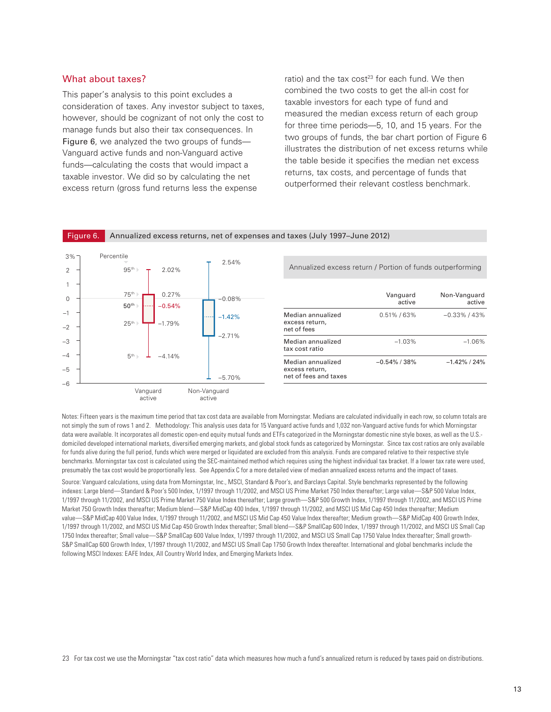# What about taxes?

This paper's analysis to this point excludes a consideration of taxes. Any investor subject to taxes, however, should be cognizant of not only the cost to manage funds but also their tax consequences. In Figure 6, we analyzed the two groups of funds— Vanguard active funds and non-Vanguard active funds—calculating the costs that would impact a taxable investor. We did so by calculating the net excess return (gross fund returns less the expense

ratio) and the tax cost<sup>23</sup> for each fund. We then combined the two costs to get the all-in cost for taxable investors for each type of fund and measured the median excess return of each group for three time periods—5, 10, and 15 years. For the two groups of funds, the bar chart portion of Figure 6 illustrates the distribution of net excess returns while the table beside it specifies the median net excess returns, tax costs, and percentage of funds that outperformed their relevant costless benchmark.



Notes: Fifteen years is the maximum time period that tax cost data are available from Morningstar. Medians are calculated individually in each row, so column totals are not simply the sum of rows 1 and 2. Methodology: This analysis uses data for 15 Vanguard active funds and 1,032 non-Vanguard active funds for which Morningstar data were available. It incorporates all domestic open-end equity mutual funds and ETFs categorized in the Morningstar domestic nine style boxes, as well as the U.S. domiciled developed international markets, diversified emerging markets, and global stock funds as categorized by Morningstar. Since tax cost ratios are only available for funds alive during the full period, funds which were merged or liquidated are excluded from this analysis. Funds are compared relative to their respective style benchmarks. Morningstar tax cost is calculated using the SEC-maintained method which requires using the highest individual tax bracket. If a lower tax rate were used, presumably the tax cost would be proportionally less. See Appendix C for a more detailed view of median annualized excess returns and the impact of taxes.

Source: Vanguard calculations, using data from Morningstar, Inc., MSCI, Standard & Poor's, and Barclays Capital. Style benchmarks represented by the following indexes: Large blend—Standard & Poor's 500 Index, 1/1997 through 11/2002, and MSCI US Prime Market 750 Index thereafter; Large value—S&P 500 Value Index, 1/1997 through 11/2002, and MSCI US Prime Market 750 Value Index thereafter; Large growth—S&P 500 Growth Index, 1/1997 through 11/2002, and MSCI US Prime Market 750 Growth Index thereafter; Medium blend—S&P MidCap 400 Index, 1/1997 through 11/2002, and MSCI US Mid Cap 450 Index thereafter; Medium value—S&P MidCap 400 Value Index, 1/1997 through 11/2002, and MSCI US Mid Cap 450 Value Index thereafter; Medium growth—S&P MidCap 400 Growth Index, 1/1997 through 11/2002, and MSCI US Mid Cap 450 Growth Index thereafter; Small blend—S&P SmallCap 600 Index, 1/1997 through 11/2002, and MSCI US Small Cap 1750 Index thereafter; Small value—S&P SmallCap 600 Value Index, 1/1997 through 11/2002, and MSCI US Small Cap 1750 Value Index thereafter; Small growth-S&P SmallCap 600 Growth Index, 1/1997 through 11/2002, and MSCI US Small Cap 1750 Growth Index thereafter. International and global benchmarks include the following MSCI Indexes: EAFE Index, All Country World Index, and Emerging Markets Index.

23 For tax cost we use the Morningstar "tax cost ratio" data which measures how much a fund's annualized return is reduced by taxes paid on distributions.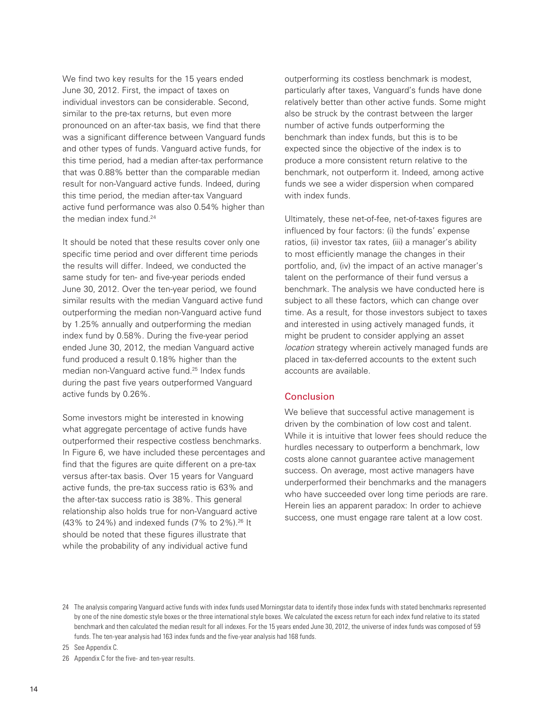We find two key results for the 15 years ended June 30, 2012. First, the impact of taxes on individual investors can be considerable. Second, similar to the pre-tax returns, but even more pronounced on an after-tax basis, we find that there was a significant difference between Vanguard funds and other types of funds. Vanguard active funds, for this time period, had a median after-tax performance that was 0.88% better than the comparable median result for non-Vanguard active funds. Indeed, during this time period, the median after-tax Vanguard active fund performance was also 0.54% higher than the median index fund.<sup>24</sup>

It should be noted that these results cover only one specific time period and over different time periods the results will differ. Indeed, we conducted the same study for ten- and five-year periods ended June 30, 2012. Over the ten-year period, we found similar results with the median Vanguard active fund outperforming the median non-Vanguard active fund by 1.25% annually and outperforming the median index fund by 0.58%. During the five-year period ended June 30, 2012, the median Vanguard active fund produced a result 0.18% higher than the median non-Vanguard active fund.25 Index funds during the past five years outperformed Vanguard active funds by 0.26%.

Some investors might be interested in knowing what aggregate percentage of active funds have outperformed their respective costless benchmarks. In Figure 6, we have included these percentages and find that the figures are quite different on a pre-tax versus after-tax basis. Over 15 years for Vanguard active funds, the pre-tax success ratio is 63% and the after-tax success ratio is 38%. This general relationship also holds true for non-Vanguard active (43% to 24%) and indexed funds  $(7% 10^{26} + 1)$  lt should be noted that these figures illustrate that while the probability of any individual active fund

outperforming its costless benchmark is modest, particularly after taxes, Vanguard's funds have done relatively better than other active funds. Some might also be struck by the contrast between the larger number of active funds outperforming the benchmark than index funds, but this is to be expected since the objective of the index is to produce a more consistent return relative to the benchmark, not outperform it. Indeed, among active funds we see a wider dispersion when compared with index funds.

Ultimately, these net-of-fee, net-of-taxes figures are influenced by four factors: (i) the funds' expense ratios, (ii) investor tax rates, (iii) a manager's ability to most efficiently manage the changes in their portfolio, and, (iv) the impact of an active manager's talent on the performance of their fund versus a benchmark. The analysis we have conducted here is subject to all these factors, which can change over time. As a result, for those investors subject to taxes and interested in using actively managed funds, it might be prudent to consider applying an asset *location* strategy wherein actively managed funds are placed in tax-deferred accounts to the extent such accounts are available.

### **Conclusion**

We believe that successful active management is driven by the combination of low cost and talent. While it is intuitive that lower fees should reduce the hurdles necessary to outperform a benchmark, low costs alone cannot guarantee active management success. On average, most active managers have underperformed their benchmarks and the managers who have succeeded over long time periods are rare. Herein lies an apparent paradox: In order to achieve success, one must engage rare talent at a low cost.

25 See Appendix C.

26 Appendix C for the five- and ten-year results.

<sup>24</sup> The analysis comparing Vanguard active funds with index funds used Morningstar data to identify those index funds with stated benchmarks represented by one of the nine domestic style boxes or the three international style boxes. We calculated the excess return for each index fund relative to its stated benchmark and then calculated the median result for all indexes. For the 15 years ended June 30, 2012, the universe of index funds was composed of 59 funds. The ten-year analysis had 163 index funds and the five-year analysis had 168 funds.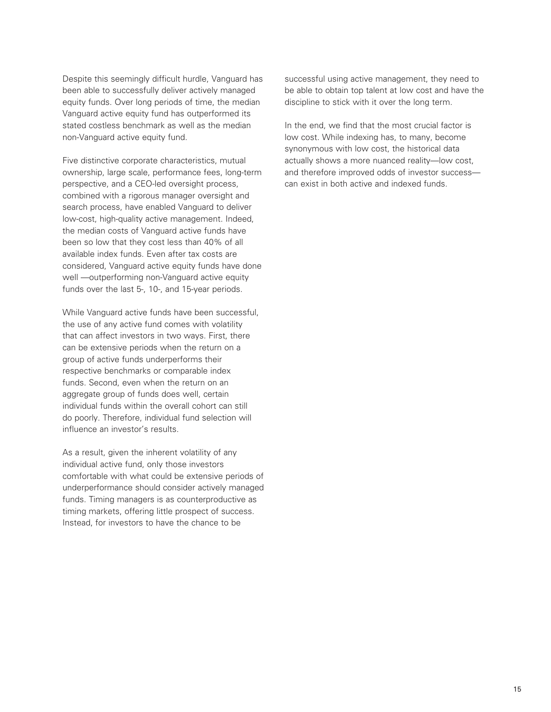Despite this seemingly difficult hurdle, Vanguard has been able to successfully deliver actively managed equity funds. Over long periods of time, the median Vanguard active equity fund has outperformed its stated costless benchmark as well as the median non-Vanguard active equity fund.

Five distinctive corporate characteristics, mutual ownership, large scale, performance fees, long-term perspective, and a CEO-led oversight process, combined with a rigorous manager oversight and search process, have enabled Vanguard to deliver low-cost, high-quality active management. Indeed, the median costs of Vanguard active funds have been so low that they cost less than 40% of all available index funds. Even after tax costs are considered, Vanguard active equity funds have done well —outperforming non-Vanguard active equity funds over the last 5-, 10-, and 15-year periods.

While Vanguard active funds have been successful, the use of any active fund comes with volatility that can affect investors in two ways. First, there can be extensive periods when the return on a group of active funds underperforms their respective benchmarks or comparable index funds. Second, even when the return on an aggregate group of funds does well, certain individual funds within the overall cohort can still do poorly. Therefore, individual fund selection will influence an investor's results.

As a result, given the inherent volatility of any individual active fund, only those investors comfortable with what could be extensive periods of underperformance should consider actively managed funds. Timing managers is as counterproductive as timing markets, offering little prospect of success. Instead, for investors to have the chance to be

successful using active management, they need to be able to obtain top talent at low cost and have the discipline to stick with it over the long term.

In the end, we find that the most crucial factor is low cost. While indexing has, to many, become synonymous with low cost, the historical data actually shows a more nuanced reality—low cost, and therefore improved odds of investor success can exist in both active and indexed funds.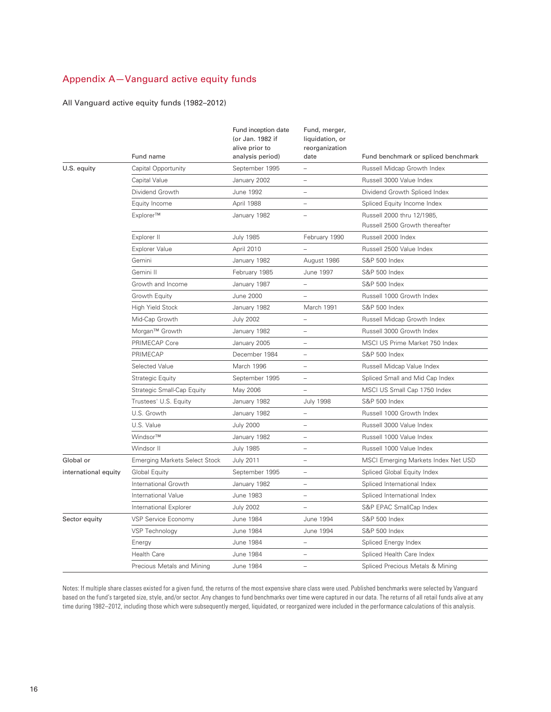# Appendix A—Vanguard active equity funds

### All Vanguard active equity funds (1982–2012)

|                      | Fund name                            | Fund inception date<br>(or Jan. 1982 if<br>alive prior to<br>analysis period) | Fund, merger,<br>liquidation, or<br>reorganization<br>date | Fund benchmark or spliced benchmark                          |
|----------------------|--------------------------------------|-------------------------------------------------------------------------------|------------------------------------------------------------|--------------------------------------------------------------|
| U.S. equity          | Capital Opportunity                  | September 1995                                                                | $\equiv$                                                   | Russell Midcap Growth Index                                  |
|                      | Capital Value                        | January 2002                                                                  | $\overline{\phantom{a}}$                                   | Russell 3000 Value Index                                     |
|                      | Dividend Growth                      | June 1992                                                                     | $\overline{\phantom{a}}$                                   | Dividend Growth Spliced Index                                |
|                      | Equity Income                        | April 1988                                                                    | $\overline{\phantom{a}}$                                   | Spliced Equity Income Index                                  |
|                      | Explorer™                            | January 1982                                                                  |                                                            | Russell 2000 thru 12/1985,<br>Russell 2500 Growth thereafter |
|                      | Explorer II                          | <b>July 1985</b>                                                              | February 1990                                              | Russell 2000 Index                                           |
|                      | <b>Explorer Value</b>                | April 2010                                                                    | $\overline{\phantom{0}}$                                   | Russell 2500 Value Index                                     |
|                      | Gemini                               | January 1982                                                                  | August 1986                                                | S&P 500 Index                                                |
|                      | Gemini II                            | February 1985                                                                 | June 1997                                                  | S&P 500 Index                                                |
|                      | Growth and Income                    | January 1987                                                                  | $\overline{\phantom{0}}$                                   | S&P 500 Index                                                |
|                      | Growth Equity                        | June 2000                                                                     | $\overline{\phantom{0}}$                                   | Russell 1000 Growth Index                                    |
|                      | High Yield Stock                     | January 1982                                                                  | March 1991                                                 | S&P 500 Index                                                |
|                      | Mid-Cap Growth                       | <b>July 2002</b>                                                              | $\qquad \qquad -$                                          | Russell Midcap Growth Index                                  |
|                      | Morgan <sup>™</sup> Growth           | January 1982                                                                  | $\overline{\phantom{0}}$                                   | Russell 3000 Growth Index                                    |
|                      | PRIMECAP Core                        | January 2005                                                                  | $\overline{\phantom{a}}$                                   | MSCI US Prime Market 750 Index                               |
|                      | PRIMECAP                             | December 1984                                                                 | $\overline{\phantom{a}}$                                   | S&P 500 Index                                                |
|                      | Selected Value                       | March 1996                                                                    | $\overline{\phantom{0}}$                                   | Russell Midcap Value Index                                   |
|                      | <b>Strategic Equity</b>              | September 1995                                                                | $\overline{\phantom{0}}$                                   | Spliced Small and Mid Cap Index                              |
|                      | Strategic Small-Cap Equity           | May 2006                                                                      | $\overline{\phantom{a}}$                                   | MSCI US Small Cap 1750 Index                                 |
|                      | Trustees' U.S. Equity                | January 1982                                                                  | <b>July 1998</b>                                           | S&P 500 Index                                                |
|                      | U.S. Growth                          | January 1982                                                                  | $\overline{\phantom{a}}$                                   | Russell 1000 Growth Index                                    |
|                      | U.S. Value                           | <b>July 2000</b>                                                              | $\overline{\phantom{0}}$                                   | Russell 3000 Value Index                                     |
|                      | Windsor™                             | January 1982                                                                  | $\overline{\phantom{a}}$                                   | Russell 1000 Value Index                                     |
|                      | Windsor II                           | <b>July 1985</b>                                                              | $\overline{\phantom{0}}$                                   | Russell 1000 Value Index                                     |
| Global or            | <b>Emerging Markets Select Stock</b> | July 2011                                                                     | $\overline{\phantom{a}}$                                   | MSCI Emerging Markets Index Net USD                          |
| international equity | Global Equity                        | September 1995                                                                | $\qquad \qquad -$                                          | Spliced Global Equity Index                                  |
|                      | International Growth                 | January 1982                                                                  | $\overline{\phantom{a}}$                                   | Spliced International Index                                  |
|                      | International Value                  | June 1983                                                                     | $\overline{\phantom{a}}$                                   | Spliced International Index                                  |
|                      | International Explorer               | <b>July 2002</b>                                                              | $\overline{\phantom{a}}$                                   | S&P EPAC SmallCap Index                                      |
| Sector equity        | VSP Service Economy                  | June 1984                                                                     | June 1994                                                  | S&P 500 Index                                                |
|                      | <b>VSP Technology</b>                | June 1984                                                                     | June 1994                                                  | <b>S&amp;P 500 Index</b>                                     |
|                      | Energy                               | June 1984                                                                     | $\qquad \qquad -$                                          | Spliced Energy Index                                         |
|                      | <b>Health Care</b>                   | June 1984                                                                     | $\overline{\phantom{0}}$                                   | Spliced Health Care Index                                    |
|                      | Precious Metals and Mining           | June 1984                                                                     | $\overline{\phantom{a}}$                                   | Spliced Precious Metals & Mining                             |

Notes: If multiple share classes existed for a given fund, the returns of the most expensive share class were used. Published benchmarks were selected by Vanguard based on the fund's targeted size, style, and/or sector. Any changes to fund benchmarks over time were captured in our data. The returns of all retail funds alive at any time during 1982–2012, including those which were subsequently merged, liquidated, or reorganized were included in the performance calculations of this analysis.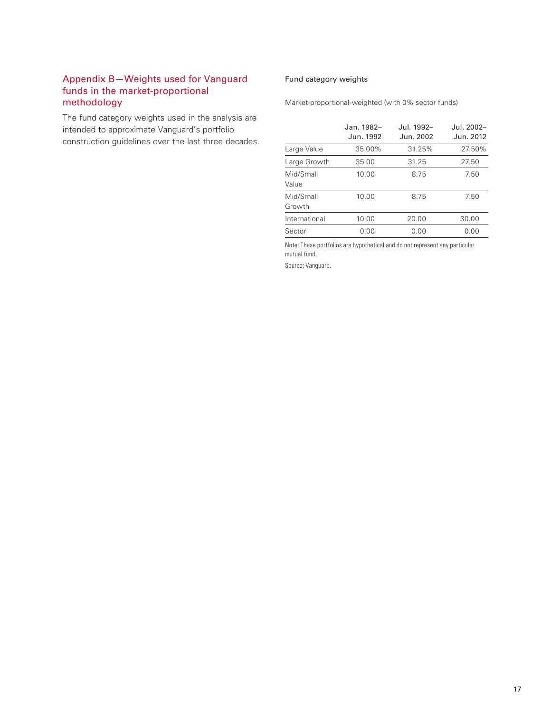# Appendix B-Weights used for Vanguard Fund category weights funds in the market-proportional methodology

The fund category weights used in the analysis are intended to approximate Vanguard's portfolio construction guidelines over the last three decades.

Market-proportional-weighted (with 0% sector funds)

|                     | Jan. 1982-<br>Jun. 1992 | Jul. 1992–<br>Jun. 2002 | Jul. 2002-<br>Jun. 2012 |
|---------------------|-------------------------|-------------------------|-------------------------|
| Large Value         | 35.00%                  | 31.25%                  | 27.50%                  |
| Large Growth        | 35.00                   | 31.25                   | 27.50                   |
| Mid/Small<br>Value  | 10.00                   | 8.75                    | 7.50                    |
| Mid/Small<br>Growth | 10.00                   | 8.75                    | 7.50                    |
| International       | 10.00                   | 20.00                   | 30.00                   |
| Sector              | 0.00                    | 0.00                    | 0.00                    |

Note: These portfolios are hypothetical and do not represent any particular mutual fund.

Source: Vanguard.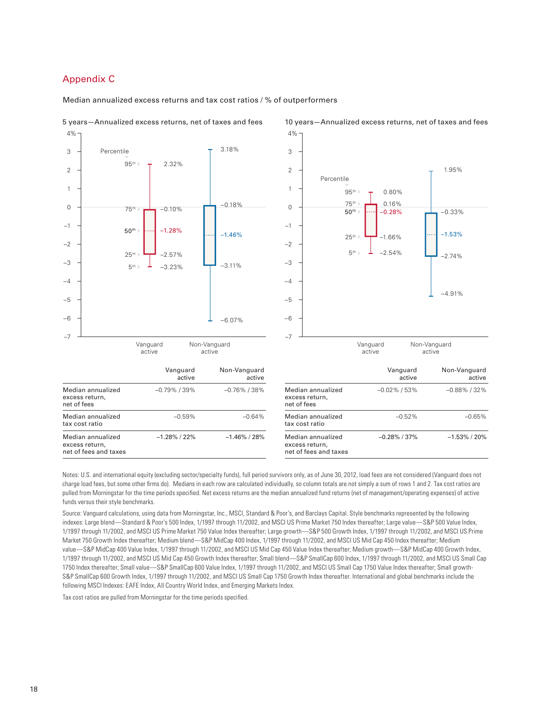# Appendix C

excess return, net of fees and taxes

#### Median annualized excess returns and tax cost ratios / % of outperformers



#### 5 years—Annualized excess returns, net of taxes and fees 10 years—Annualized excess returns, net of taxes and fees



Notes: U.S. and international equity (excluding sector/specialty funds), full period survivors only, as of June 30, 2012, load fees are not considered (Vanguard does not charge load fees, but some other firms do). Medians in each row are calculated individually, so column totals are not simply a sum of rows 1 and 2. Tax cost ratios are pulled from Morningstar for the time periods specified. Net excess returns are the median annualized fund returns (net of management/operating expenses) of active funds versus their style benchmarks.

excess return, net of fees and taxes

Source: Vanguard calculations, using data from Morningstar, Inc., MSCI, Standard & Poor's, and Barclays Capital. Style benchmarks represented by the following indexes: Large blend—Standard & Poor's 500 Index, 1/1997 through 11/2002, and MSCI US Prime Market 750 Index thereafter; Large value—S&P 500 Value Index, 1/1997 through 11/2002, and MSCI US Prime Market 750 Value Index thereafter; Large growth—S&P 500 Growth Index, 1/1997 through 11/2002, and MSCI US Prime Market 750 Growth Index thereafter; Medium blend—S&P MidCap 400 Index, 1/1997 through 11/2002, and MSCI US Mid Cap 450 Index thereafter; Medium value—S&P MidCap 400 Value Index, 1/1997 through 11/2002, and MSCI US Mid Cap 450 Value Index thereafter; Medium growth—S&P MidCap 400 Growth Index, 1/1997 through 11/2002, and MSCI US Mid Cap 450 Growth Index thereafter; Small blend—S&P SmallCap 600 Index, 1/1997 through 11/2002, and MSCI US Small Cap 1750 Index thereafter; Small value—S&P SmallCap 600 Value Index, 1/1997 through 11/2002, and MSCI US Small Cap 1750 Value Index thereafter; Small growth-S&P SmallCap 600 Growth Index, 1/1997 through 11/2002, and MSCI US Small Cap 1750 Growth Index thereafter. International and global benchmarks include the following MSCI Indexes: EAFE Index, All Country World Index, and Emerging Markets Index.

Tax cost ratios are pulled from Morningstar for the time periods specified.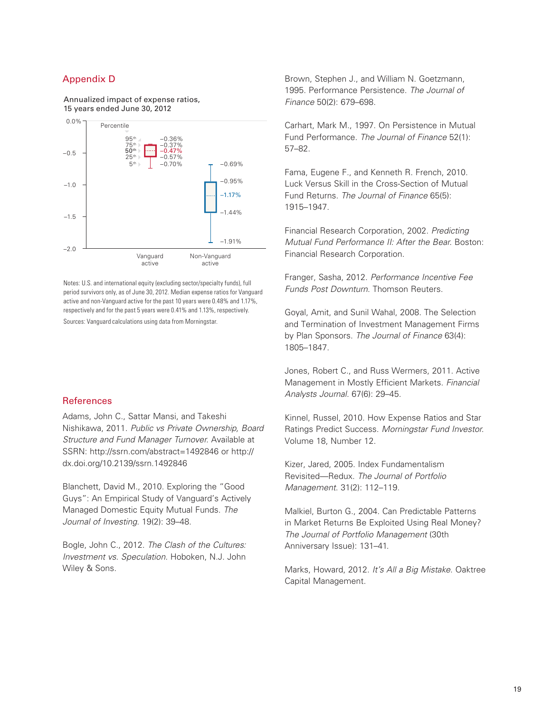# Appendix D

Annualized impact of expense ratios, 15 years ended June 30, 2012



Notes: U.S. and international equity (excluding sector/specialty funds), full period survivors only, as of June 30, 2012. Median expense ratios for Vanguard active and non-Vanguard active for the past 10 years were 0.48% and 1.17%, respectively and for the past 5 years were 0.41% and 1.13%, respectively.

Sources: Vanguard calculations using data from Morningstar.

#### **References**

Adams, John C., Sattar Mansi, and Takeshi Nishikawa, 2011. *Public vs Private Ownership, Board Structure and Fund Manager Turnover*. Available at SSRN: http://ssrn.com/abstract=1492846 or http:// dx.doi.org/10.2139/ssrn.1492846

Blanchett, David M., 2010. Exploring the "Good Guys": An Empirical Study of Vanguard's Actively Managed Domestic Equity Mutual Funds. *The Journal of Investing*. 19(2): 39–48.

Bogle, John C., 2012. *The Clash of the Cultures: Investment vs. Speculation*. Hoboken, N.J. John Wiley & Sons.

Brown, Stephen J., and William N. Goetzmann, 1995. Performance Persistence. *The Journal of Finance* 50(2): 679–698.

Carhart, Mark M., 1997. On Persistence in Mutual Fund Performance. *The Journal of Finance* 52(1): 57–82.

Fama, Eugene F., and Kenneth R. French, 2010. Luck Versus Skill in the Cross-Section of Mutual Fund Returns. *The Journal of Finance* 65(5): 1915–1947.

Financial Research Corporation, 2002. *Predicting Mutual Fund Performance II: After the Bear*. Boston: Financial Research Corporation.

Franger, Sasha, 2012. *Performance Incentive Fee Funds Post Downturn*. Thomson Reuters.

Goyal, Amit, and Sunil Wahal, 2008. The Selection and Termination of Investment Management Firms by Plan Sponsors. *The Journal of Finance* 63(4): 1805–1847.

Jones, Robert C., and Russ Wermers, 2011. Active Management in Mostly Efficient Markets. *Financial Analysts Journal*. 67(6): 29–45.

Kinnel, Russel, 2010. How Expense Ratios and Star Ratings Predict Success. *Morningstar Fund Investor*. Volume 18, Number 12.

Kizer, Jared, 2005. Index Fundamentalism Revisited—Redux. *The Journal of Portfolio Management*. 31(2): 112–119.

Malkiel, Burton G., 2004. Can Predictable Patterns in Market Returns Be Exploited Using Real Money? *The Journal of Portfolio Management* (30th Anniversary Issue): 131–41.

Marks, Howard, 2012. *It's All a Big Mistake*. Oaktree Capital Management.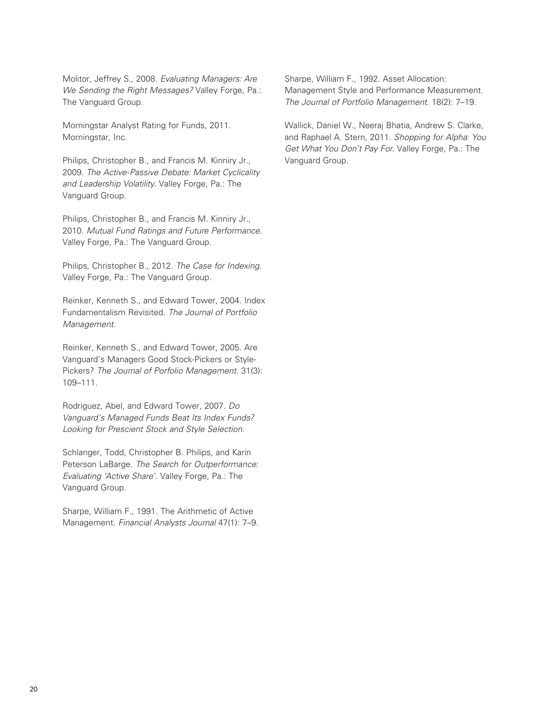Molitor, Jeffrey S., 2008. *Evaluating Managers: Are We Sending the Right Messages?* Valley Forge, Pa.: The Vanguard Group.

Morningstar Analyst Rating for Funds, 2011. Morningstar, Inc.

Philips, Christopher B., and Francis M. Kinniry Jr., 2009. *The Active-Passive Debate: Market Cyclicality and Leadership Volatility*. Valley Forge, Pa.: The Vanguard Group.

Philips, Christopher B., and Francis M. Kinniry Jr., 2010. *Mutual Fund Ratings and Future Performance*. Valley Forge, Pa.: The Vanguard Group.

Philips, Christopher B., 2012. *The Case for Indexing*. Valley Forge, Pa.: The Vanguard Group.

Reinker, Kenneth S., and Edward Tower, 2004. Index Fundamentalism Revisited. *The Journal of Portfolio Management*.

Reinker, Kenneth S., and Edward Tower, 2005. Are Vanguard's Managers Good Stock-Pickers or Style-Pickers? *The Journal of Porfolio Management*. 31(3): 109–111.

Rodriguez, Abel, and Edward Tower, 2007. *Do Vanguard's Managed Funds Beat Its Index Funds? Looking for Prescient Stock and Style Selection*.

Schlanger, Todd, Christopher B. Philips, and Karin Peterson LaBarge. *The Search for Outperformance: Evaluating 'Active Share'*. Valley Forge, Pa.: The Vanguard Group.

Sharpe, William F., 1991. The Arithmetic of Active Management. *Financial Analysts Journal* 47(1): 7–9. Sharpe, William F., 1992. Asset Allocation: Management Style and Performance Measurement. *The Journal of Portfolio Management.* 18(2): 7–19.

Wallick, Daniel W., Neeraj Bhatia, Andrew S. Clarke, and Raphael A. Stern, 2011. *Shopping for Alpha: You Get What You Don't Pay For*. Valley Forge, Pa.: The Vanguard Group.